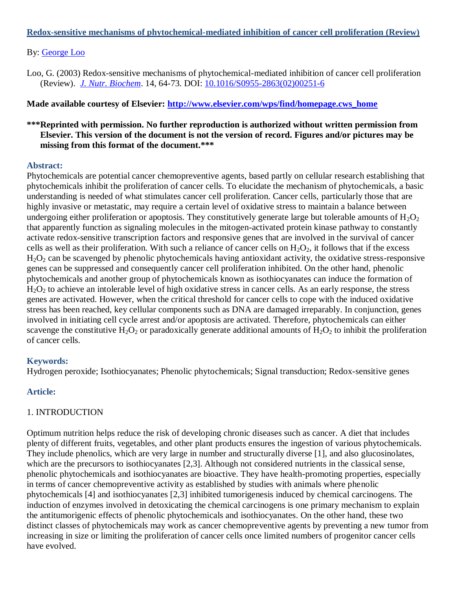#### **Redox-sensitive mechanisms of phytochemical-mediated inhibition of cancer cell proliferation (Review)**

#### By: [George Loo](http://libres.uncg.edu/ir/uncg/clist.aspx?id=1195)

Loo, G. (2003) Redox-sensitive mechanisms of phytochemical-mediated inhibition of cancer cell proliferation (Review). *[J. Nutr. Biochem](http://www.sciencedirect.com/science/journal/09552863)*. 14, 64-73. DOI: [10.1016/S0955-2863\(02\)00251-6](http://dx.doi.org/10.1016/S0955-2863(02)00251-6)

#### **Made available courtesy of Elsevier: [http://www.elsevier.com/wps/find/homepage.cws\\_home](http://www.elsevier.com/wps/find/homepage.cws_home)**

## **\*\*\*Reprinted with permission. No further reproduction is authorized without written permission from Elsevier. This version of the document is not the version of record. Figures and/or pictures may be missing from this format of the document.\*\*\***

#### **Abstract:**

Phytochemicals are potential cancer chemopreventive agents, based partly on cellular research establishing that phytochemicals inhibit the proliferation of cancer cells. To elucidate the mechanism of phytochemicals, a basic understanding is needed of what stimulates cancer cell proliferation. Cancer cells, particularly those that are highly invasive or metastatic, may require a certain level of oxidative stress to maintain a balance between undergoing either proliferation or apoptosis. They constitutively generate large but tolerable amounts of  $H_2O_2$ that apparently function as signaling molecules in the mitogen-activated protein kinase pathway to constantly activate redox-sensitive transcription factors and responsive genes that are involved in the survival of cancer cells as well as their proliferation. With such a reliance of cancer cells on  $H_2O_2$ , it follows that if the excess  $H_2O_2$  can be scavenged by phenolic phytochemicals having antioxidant activity, the oxidative stress-responsive genes can be suppressed and consequently cancer cell proliferation inhibited. On the other hand, phenolic phytochemicals and another group of phytochemicals known as isothiocyanates can induce the formation of  $H<sub>2</sub>O<sub>2</sub>$  to achieve an intolerable level of high oxidative stress in cancer cells. As an early response, the stress genes are activated. However, when the critical threshold for cancer cells to cope with the induced oxidative stress has been reached, key cellular components such as DNA are damaged irreparably. In conjunction, genes involved in initiating cell cycle arrest and/or apoptosis are activated. Therefore, phytochemicals can either scavenge the constitutive  $H_2O_2$  or paradoxically generate additional amounts of  $H_2O_2$  to inhibit the proliferation of cancer cells.

## **Keywords:**

Hydrogen peroxide; Isothiocyanates; Phenolic phytochemicals; Signal transduction; Redox-sensitive genes

## **Article:**

## 1. INTRODUCTION

Optimum nutrition helps reduce the risk of developing chronic diseases such as cancer. A diet that includes plenty of different fruits, vegetables, and other plant products ensures the ingestion of various phytochemicals. They include phenolics, which are very large in number and structurally diverse [1], and also glucosinolates, which are the precursors to isothiocyanates [2,3]. Although not considered nutrients in the classical sense, phenolic phytochemicals and isothiocyanates are bioactive. They have health-promoting properties, especially in terms of cancer chemopreventive activity as established by studies with animals where phenolic phytochemicals [4] and isothiocyanates [2,3] inhibited tumorigenesis induced by chemical carcinogens. The induction of enzymes involved in detoxicating the chemical carcinogens is one primary mechanism to explain the antitumorigenic effects of phenolic phytochemicals and isothiocyanates. On the other hand, these two distinct classes of phytochemicals may work as cancer chemopreventive agents by preventing a new tumor from increasing in size or limiting the proliferation of cancer cells once limited numbers of progenitor cancer cells have evolved.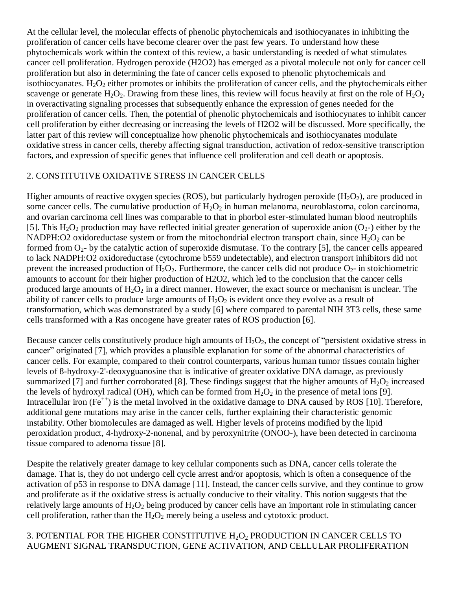At the cellular level, the molecular effects of phenolic phytochemicals and isothiocyanates in inhibiting the proliferation of cancer cells have become clearer over the past few years. To understand how these phytochemicals work within the context of this review, a basic understanding is needed of what stimulates cancer cell proliferation. Hydrogen peroxide (H2O2) has emerged as a pivotal molecule not only for cancer cell proliferation but also in determining the fate of cancer cells exposed to phenolic phytochemicals and isothiocyanates.  $H_2O_2$  either promotes or inhibits the proliferation of cancer cells, and the phytochemicals either scavenge or generate  $H_2O_2$ . Drawing from these lines, this review will focus heavily at first on the role of  $H_2O_2$ in overactivating signaling processes that subsequently enhance the expression of genes needed for the proliferation of cancer cells. Then, the potential of phenolic phytochemicals and isothiocynates to inhibit cancer cell proliferation by either decreasing or increasing the levels of H2O2 will be discussed. More specifically, the latter part of this review will conceptualize how phenolic phytochemicals and isothiocyanates modulate oxidative stress in cancer cells, thereby affecting signal transduction, activation of redox-sensitive transcription factors, and expression of specific genes that influence cell proliferation and cell death or apoptosis.

## 2. CONSTITUTIVE OXIDATIVE STRESS IN CANCER CELLS

Higher amounts of reactive oxygen species (ROS), but particularly hydrogen peroxide  $(H_2O_2)$ , are produced in some cancer cells. The cumulative production of  $H_2O_2$  in human melanoma, neuroblastoma, colon carcinoma, and ovarian carcinoma cell lines was comparable to that in phorbol ester-stimulated human blood neutrophils [5]. This H<sub>2</sub>O<sub>2</sub> production may have reflected initial greater generation of superoxide anion (O<sub>2</sub>-) either by the NADPH:O2 oxidoreductase system or from the mitochondrial electron transport chain, since  $H_2O_2$  can be formed from  $O_2$ - by the catalytic action of superoxide dismutase. To the contrary [5], the cancer cells appeared to lack NADPH:O2 oxidoreductase (cytochrome b559 undetectable), and electron transport inhibitors did not prevent the increased production of  $H_2O_2$ . Furthermore, the cancer cells did not produce  $O_2$ - in stoichiometric amounts to account for their higher production of H2O2, which led to the conclusion that the cancer cells produced large amounts of  $H_2O_2$  in a direct manner. However, the exact source or mechanism is unclear. The ability of cancer cells to produce large amounts of  $H_2O_2$  is evident once they evolve as a result of transformation, which was demonstrated by a study [6] where compared to parental NIH 3T3 cells, these same cells transformed with a Ras oncogene have greater rates of ROS production [6].

Because cancer cells constitutively produce high amounts of  $H_2O_2$ , the concept of "persistent oxidative stress in cancer" originated [7], which provides a plausible explanation for some of the abnormal characteristics of cancer cells. For example, compared to their control counterparts, various human tumor tissues contain higher levels of 8-hydroxy-2'-deoxyguanosine that is indicative of greater oxidative DNA damage, as previously summarized [7] and further corroborated [8]. These findings suggest that the higher amounts of  $H_2O_2$  increased the levels of hydroxyl radical (OH), which can be formed from  $H_2O_2$  in the presence of metal ions [9]. Intracellular iron  $(Fe^{++})$  is the metal involved in the oxidative damage to DNA caused by ROS [10]. Therefore, additional gene mutations may arise in the cancer cells, further explaining their characteristic genomic instability. Other biomolecules are damaged as well. Higher levels of proteins modified by the lipid peroxidation product, 4-hydroxy-2-nonenal, and by peroxynitrite (ONOO-), have been detected in carcinoma tissue compared to adenoma tissue [8].

Despite the relatively greater damage to key cellular components such as DNA, cancer cells tolerate the damage. That is, they do not undergo cell cycle arrest and/or apoptosis, which is often a consequence of the activation of p53 in response to DNA damage [11]. Instead, the cancer cells survive, and they continue to grow and proliferate as if the oxidative stress is actually conducive to their vitality. This notion suggests that the relatively large amounts of  $H_2O_2$  being produced by cancer cells have an important role in stimulating cancer cell proliferation, rather than the  $H_2O_2$  merely being a useless and cytotoxic product.

3. POTENTIAL FOR THE HIGHER CONSTITUTIVE  $H_2O_2$  PRODUCTION IN CANCER CELLS TO AUGMENT SIGNAL TRANSDUCTION, GENE ACTIVATION, AND CELLULAR PROLIFERATION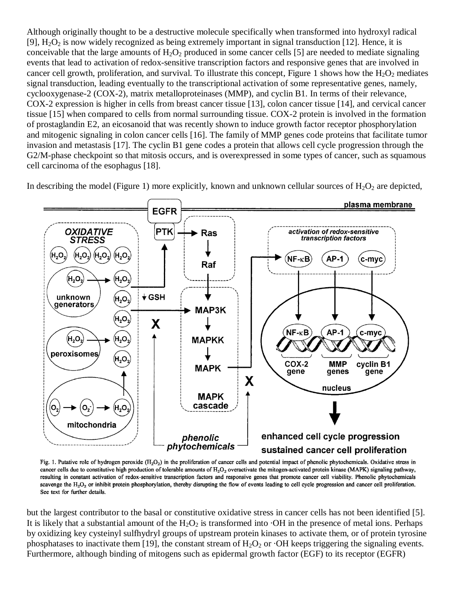Although originally thought to be a destructive molecule specifically when transformed into hydroxyl radical [9],  $H_2O_2$  is now widely recognized as being extremely important in signal transduction [12]. Hence, it is conceivable that the large amounts of  $H_2O_2$  produced in some cancer cells [5] are needed to mediate signaling events that lead to activation of redox-sensitive transcription factors and responsive genes that are involved in cancer cell growth, proliferation, and survival. To illustrate this concept, Figure 1 shows how the  $H_2O_2$  mediates signal transduction, leading eventually to the transcriptional activation of some representative genes, namely, cyclooxygenase-2 (COX-2), matrix metalloproteinases (MMP), and cyclin B1. In terms of their relevance, COX-2 expression is higher in cells from breast cancer tissue [13], colon cancer tissue [14], and cervical cancer tissue [15] when compared to cells from normal surrounding tissue. COX-2 protein is involved in the formation of prostaglandin E2, an eicosanoid that was recently shown to induce growth factor receptor phosphorylation and mitogenic signaling in colon cancer cells [16]. The family of MMP genes code proteins that facilitate tumor invasion and metastasis [17]. The cyclin B1 gene codes a protein that allows cell cycle progression through the G2/M-phase checkpoint so that mitosis occurs, and is overexpressed in some types of cancer, such as squamous cell carcinoma of the esophagus [18].

In describing the model (Figure 1) more explicitly, known and unknown cellular sources of  $H_2O_2$  are depicted,



Fig. 1. Putative role of hydrogen peroxide  $(H_2O_2)$  in the proliferation of cancer cells and potential impact of phenolic phytochemicals. Oxidative stress in cancer cells due to constitutive high production of tolerable amounts of  $H_2O_2$  overactivate the mitogen-activated protein kinase (MAPK) signaling pathway, resulting in constant activation of redox-sensitive transcription factors and responsive genes that promote cancer cell viability. Phenolic phytochemicals scavenge the H<sub>2</sub>O<sub>2</sub> or inhibit protein phosphorylation, thereby disrupting the flow of events leading to cell cycle progression and cancer cell proliferation. See text for further details.

but the largest contributor to the basal or constitutive oxidative stress in cancer cells has not been identified [5]. It is likely that a substantial amount of the  $H_2O_2$  is transformed into  $\cdot$ OH in the presence of metal ions. Perhaps by oxidizing key cysteinyl sulfhydryl groups of upstream protein kinases to activate them, or of protein tyrosine phosphatases to inactivate them [19], the constant stream of  $H_2O_2$  or  $\cdot$ OH keeps triggering the signaling events. Furthermore, although binding of mitogens such as epidermal growth factor (EGF) to its receptor (EGFR)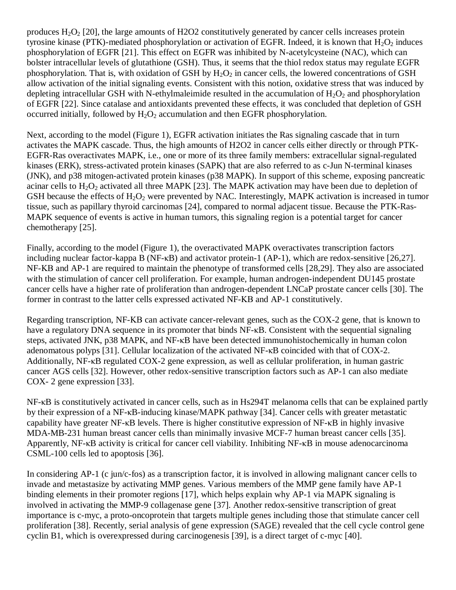produces  $H_2O_2$  [20], the large amounts of H2O2 constitutively generated by cancer cells increases protein tyrosine kinase (PTK)-mediated phosphorylation or activation of EGFR. Indeed, it is known that  $H_2O_2$  induces phosphorylation of EGFR [21]. This effect on EGFR was inhibited by N-acetylcysteine (NAC), which can bolster intracellular levels of glutathione (GSH). Thus, it seems that the thiol redox status may regulate EGFR phosphorylation. That is, with oxidation of GSH by  $H_2O_2$  in cancer cells, the lowered concentrations of GSH allow activation of the initial signaling events. Consistent with this notion, oxidative stress that was induced by depleting intracellular GSH with N-ethylmaleimide resulted in the accumulation of  $H_2O_2$  and phosphorylation of EGFR [22]. Since catalase and antioxidants prevented these effects, it was concluded that depletion of GSH occurred initially, followed by  $H_2O_2$  accumulation and then EGFR phosphorylation.

Next, according to the model (Figure 1), EGFR activation initiates the Ras signaling cascade that in turn activates the MAPK cascade. Thus, the high amounts of H2O2 in cancer cells either directly or through PTK-EGFR-Ras overactivates MAPK, i.e., one or more of its three family members: extracellular signal-regulated kinases (ERK), stress-activated protein kinases (SAPK) that are also referred to as c-Jun N-terminal kinases (JNK), and p38 mitogen-activated protein kinases (p38 MAPK). In support of this scheme, exposing pancreatic acinar cells to  $H_2O_2$  activated all three MAPK [23]. The MAPK activation may have been due to depletion of GSH because the effects of  $H_2O_2$  were prevented by NAC. Interestingly, MAPK activation is increased in tumor tissue, such as papillary thyroid carcinomas [24], compared to normal adjacent tissue. Because the PTK-Ras-MAPK sequence of events is active in human tumors, this signaling region is a potential target for cancer chemotherapy [25].

Finally, according to the model (Figure 1), the overactivated MAPK overactivates transcription factors including nuclear factor-kappa B (NF-κB) and activator protein-1 (AP-1), which are redox-sensitive [26,27]. NF-KB and AP-1 are required to maintain the phenotype of transformed cells [28,29]. They also are associated with the stimulation of cancer cell proliferation. For example, human androgen-independent DU145 prostate cancer cells have a higher rate of proliferation than androgen-dependent LNCaP prostate cancer cells [30]. The former in contrast to the latter cells expressed activated NF-ΚB and AP-1 constitutively.

Regarding transcription, NF-KB can activate cancer-relevant genes, such as the COX-2 gene, that is known to have a regulatory DNA sequence in its promoter that binds NF-κB. Consistent with the sequential signaling steps, activated JNK, p38 MAPK, and NF-κB have been detected immunohistochemically in human colon adenomatous polyps [31]. Cellular localization of the activated NF-κB coincided with that of COX-2. Additionally, NF-κB regulated COX-2 gene expression, as well as cellular proliferation, in human gastric cancer AGS cells [32]. However, other redox-sensitive transcription factors such as AP-1 can also mediate COX- 2 gene expression [33].

NF-κB is constitutively activated in cancer cells, such as in Hs294T melanoma cells that can be explained partly by their expression of a NF-κB-inducing kinase/MAPK pathway [34]. Cancer cells with greater metastatic capability have greater NF-κB levels. There is higher constitutive expression of NF-κB in highly invasive MDA-MB-231 human breast cancer cells than minimally invasive MCF-7 human breast cancer cells [35]. Apparently, NF-κB activity is critical for cancer cell viability. Inhibiting NF-κB in mouse adenocarcinoma CSML-100 cells led to apoptosis [36].

In considering AP-1 (c jun/c-fos) as a transcription factor, it is involved in allowing malignant cancer cells to invade and metastasize by activating MMP genes. Various members of the MMP gene family have AP-1 binding elements in their promoter regions [17], which helps explain why AP-1 via MAPK signaling is involved in activating the MMP-9 collagenase gene [37]. Another redox-sensitive transcription of great importance is c-myc, a proto-oncoprotein that targets multiple genes including those that stimulate cancer cell proliferation [38]. Recently, serial analysis of gene expression (SAGE) revealed that the cell cycle control gene cyclin B1, which is overexpressed during carcinogenesis [39], is a direct target of c-myc [40].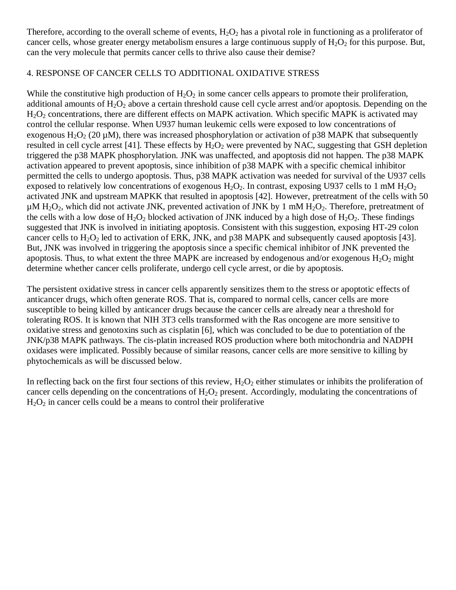Therefore, according to the overall scheme of events,  $H_2O_2$  has a pivotal role in functioning as a proliferator of cancer cells, whose greater energy metabolism ensures a large continuous supply of  $H_2O_2$  for this purpose. But, can the very molecule that permits cancer cells to thrive also cause their demise?

#### 4. RESPONSE OF CANCER CELLS TO ADDITIONAL OXIDATIVE STRESS

While the constitutive high production of  $H_2O_2$  in some cancer cells appears to promote their proliferation, additional amounts of  $H_2O_2$  above a certain threshold cause cell cycle arrest and/or apoptosis. Depending on the H<sub>2</sub>O<sub>2</sub> concentrations, there are different effects on MAPK activation. Which specific MAPK is activated may control the cellular response. When U937 human leukemic cells were exposed to low concentrations of exogenous  $H_2O_2$  (20 µM), there was increased phosphorylation or activation of p38 MAPK that subsequently resulted in cell cycle arrest [41]. These effects by  $H_2O_2$  were prevented by NAC, suggesting that GSH depletion triggered the p38 MAPK phosphorylation. JNK was unaffected, and apoptosis did not happen. The p38 MAPK activation appeared to prevent apoptosis, since inhibition of p38 MAPK with a specific chemical inhibitor permitted the cells to undergo apoptosis. Thus, p38 MAPK activation was needed for survival of the U937 cells exposed to relatively low concentrations of exogenous  $H_2O_2$ . In contrast, exposing U937 cells to 1 mM  $H_2O_2$ activated JNK and upstream MAPKK that resulted in apoptosis [42]. However, pretreatment of the cells with 50  $\mu$ M H<sub>2</sub>O<sub>2</sub>, which did not activate JNK, prevented activation of JNK by 1 mM H<sub>2</sub>O<sub>2</sub>. Therefore, pretreatment of the cells with a low dose of  $H_2O_2$  blocked activation of JNK induced by a high dose of  $H_2O_2$ . These findings suggested that JNK is involved in initiating apoptosis. Consistent with this suggestion, exposing HT-29 colon cancer cells to  $H_2O_2$  led to activation of ERK, JNK, and p38 MAPK and subsequently caused apoptosis [43]. But, JNK was involved in triggering the apoptosis since a specific chemical inhibitor of JNK prevented the apoptosis. Thus, to what extent the three MAPK are increased by endogenous and/or exogenous  $H_2O_2$  might determine whether cancer cells proliferate, undergo cell cycle arrest, or die by apoptosis.

The persistent oxidative stress in cancer cells apparently sensitizes them to the stress or apoptotic effects of anticancer drugs, which often generate ROS. That is, compared to normal cells, cancer cells are more susceptible to being killed by anticancer drugs because the cancer cells are already near a threshold for tolerating ROS. It is known that NIH 3T3 cells transformed with the Ras oncogene are more sensitive to oxidative stress and genotoxins such as cisplatin [6], which was concluded to be due to potentiation of the JNK/p38 MAPK pathways. The cis-platin increased ROS production where both mitochondria and NADPH oxidases were implicated. Possibly because of similar reasons, cancer cells are more sensitive to killing by phytochemicals as will be discussed below.

In reflecting back on the first four sections of this review,  $H_2O_2$  either stimulates or inhibits the proliferation of cancer cells depending on the concentrations of  $H_2O_2$  present. Accordingly, modulating the concentrations of  $H<sub>2</sub>O<sub>2</sub>$  in cancer cells could be a means to control their proliferative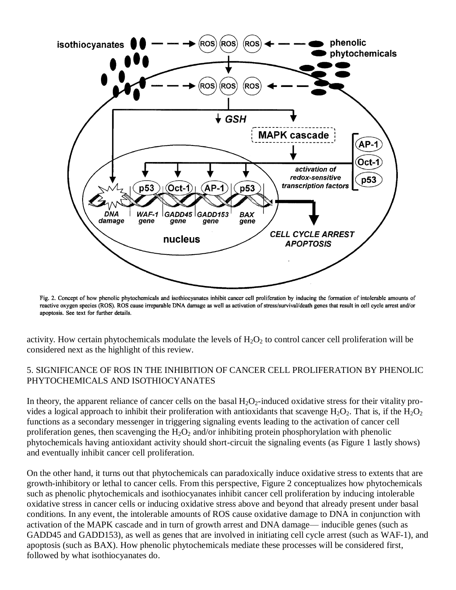

Fig. 2. Concept of how phenolic phytochemicals and isothiocyanates inhibit cancer cell proliferation by inducing the formation of intolerable amounts of reactive oxygen species (ROS). ROS cause irreparable DNA damage as well as activation of stress/survival/death genes that result in cell cycle arrest and/or apoptosis. See text for further details.

activity. How certain phytochemicals modulate the levels of  $H_2O_2$  to control cancer cell proliferation will be considered next as the highlight of this review.

## 5. SIGNIFICANCE OF ROS IN THE INHIBITION OF CANCER CELL PROLIFERATION BY PHENOLIC PHYTOCHEMICALS AND ISOTHIOCYANATES

In theory, the apparent reliance of cancer cells on the basal  $H_2O_2$ -induced oxidative stress for their vitality provides a logical approach to inhibit their proliferation with antioxidants that scavenge  $H_2O_2$ . That is, if the  $H_2O_2$ functions as a secondary messenger in triggering signaling events leading to the activation of cancer cell proliferation genes, then scavenging the  $H_2O_2$  and/or inhibiting protein phosphorylation with phenolic phytochemicals having antioxidant activity should short-circuit the signaling events (as Figure 1 lastly shows) and eventually inhibit cancer cell proliferation.

On the other hand, it turns out that phytochemicals can paradoxically induce oxidative stress to extents that are growth-inhibitory or lethal to cancer cells. From this perspective, Figure 2 conceptualizes how phytochemicals such as phenolic phytochemicals and isothiocyanates inhibit cancer cell proliferation by inducing intolerable oxidative stress in cancer cells or inducing oxidative stress above and beyond that already present under basal conditions. In any event, the intolerable amounts of ROS cause oxidative damage to DNA in conjunction with activation of the MAPK cascade and in turn of growth arrest and DNA damage— inducible genes (such as GADD45 and GADD153), as well as genes that are involved in initiating cell cycle arrest (such as WAF-1), and apoptosis (such as BAX). How phenolic phytochemicals mediate these processes will be considered first, followed by what isothiocyanates do.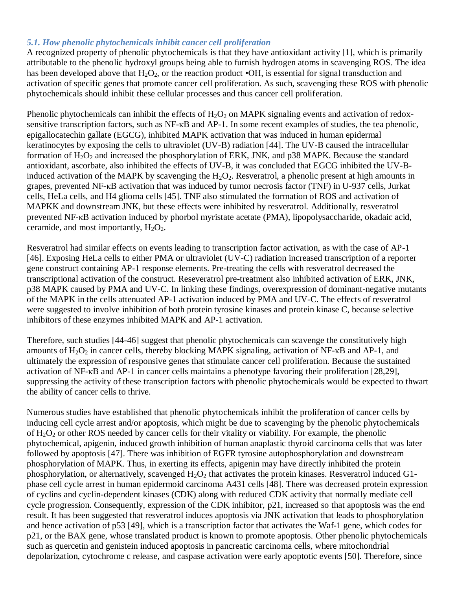### *5.1. How phenolic phytochemicals inhibit cancer cell proliferation*

A recognized property of phenolic phytochemicals is that they have antioxidant activity [1], which is primarily attributable to the phenolic hydroxyl groups being able to furnish hydrogen atoms in scavenging ROS. The idea has been developed above that  $H_2O_2$ , or the reaction product  $\cdot$ OH, is essential for signal transduction and activation of specific genes that promote cancer cell proliferation. As such, scavenging these ROS with phenolic phytochemicals should inhibit these cellular processes and thus cancer cell proliferation.

Phenolic phytochemicals can inhibit the effects of  $H_2O_2$  on MAPK signaling events and activation of redoxsensitive transcription factors, such as NF-κB and AP-1. In some recent examples of studies, the tea phenolic, epigallocatechin gallate (EGCG), inhibited MAPK activation that was induced in human epidermal keratinocytes by exposing the cells to ultraviolet (UV-B) radiation [44]. The UV-B caused the intracellular formation of  $H_2O_2$  and increased the phosphorylation of ERK, JNK, and p38 MAPK. Because the standard antioxidant, ascorbate, also inhibited the effects of UV-B, it was concluded that EGCG inhibited the UV-Binduced activation of the MAPK by scavenging the  $H_2O_2$ . Resveratrol, a phenolic present at high amounts in grapes, prevented NF-κB activation that was induced by tumor necrosis factor (TNF) in U-937 cells, Jurkat cells, HeLa cells, and H4 glioma cells [45]. TNF also stimulated the formation of ROS and activation of MAPKK and downstream JNK, but these effects were inhibited by resveratrol. Additionally, resveratrol prevented NF-κB activation induced by phorbol myristate acetate (PMA), lipopolysaccharide, okadaic acid, ceramide, and most importantly,  $H_2O_2$ .

Resveratrol had similar effects on events leading to transcription factor activation, as with the case of AP-1 [46]. Exposing HeLa cells to either PMA or ultraviolet (UV-C) radiation increased transcription of a reporter gene construct containing AP-1 response elements. Pre-treating the cells with resveratrol decreased the transcriptional activation of the construct. Reseveratrol pre-treatment also inhibited activation of ERK, JNK, p38 MAPK caused by PMA and UV-C. In linking these findings, overexpression of dominant-negative mutants of the MAPK in the cells attenuated AP-1 activation induced by PMA and UV-C. The effects of resveratrol were suggested to involve inhibition of both protein tyrosine kinases and protein kinase C, because selective inhibitors of these enzymes inhibited MAPK and AP-1 activation.

Therefore, such studies [44-46] suggest that phenolic phytochemicals can scavenge the constitutively high amounts of  $H_2O_2$  in cancer cells, thereby blocking MAPK signaling, activation of NF- $\kappa$ B and AP-1, and ultimately the expression of responsive genes that stimulate cancer cell proliferation. Because the sustained activation of NF-κB and AP-1 in cancer cells maintains a phenotype favoring their proliferation [28,29], suppressing the activity of these transcription factors with phenolic phytochemicals would be expected to thwart the ability of cancer cells to thrive.

Numerous studies have established that phenolic phytochemicals inhibit the proliferation of cancer cells by inducing cell cycle arrest and/or apoptosis, which might be due to scavenging by the phenolic phytochemicals of  $H_2O_2$  or other ROS needed by cancer cells for their vitality or viability. For example, the phenolic phytochemical, apigenin, induced growth inhibition of human anaplastic thyroid carcinoma cells that was later followed by apoptosis [47]. There was inhibition of EGFR tyrosine autophosphorylation and downstream phosphorylation of MAPK. Thus, in exerting its effects, apigenin may have directly inhibited the protein phosphorylation, or alternatively, scavenged  $H_2O_2$  that activates the protein kinases. Resveratrol induced G1phase cell cycle arrest in human epidermoid carcinoma A431 cells [48]. There was decreased protein expression of cyclins and cyclin-dependent kinases (CDK) along with reduced CDK activity that normally mediate cell cycle progression. Consequently, expression of the CDK inhibitor, p21, increased so that apoptosis was the end result. It has been suggested that resveratrol induces apoptosis via JNK activation that leads to phosphorylation and hence activation of p53 [49], which is a transcription factor that activates the Waf-1 gene, which codes for p21, or the BAX gene, whose translated product is known to promote apoptosis. Other phenolic phytochemicals such as quercetin and genistein induced apoptosis in pancreatic carcinoma cells, where mitochondrial depolarization, cytochrome c release, and caspase activation were early apoptotic events [50]. Therefore, since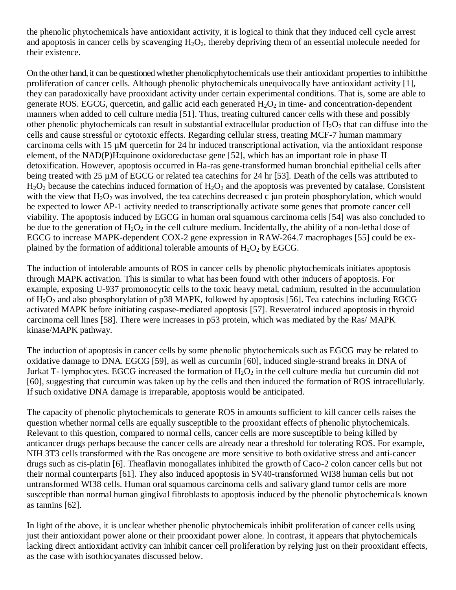the phenolic phytochemicals have antioxidant activity, it is logical to think that they induced cell cycle arrest and apoptosis in cancer cells by scavenging  $H_2O_2$ , thereby depriving them of an essential molecule needed for their existence.

On the other hand, it can be questioned whether phenolicphytochemicals use their antioxidant properties to inhibitthe proliferation of cancer cells. Although phenolic phytochemicals unequivocally have antioxidant activity [1], they can paradoxically have prooxidant activity under certain experimental conditions. That is, some are able to generate ROS. EGCG, quercetin, and gallic acid each generated  $H_2O_2$  in time- and concentration-dependent manners when added to cell culture media [51]. Thus, treating cultured cancer cells with these and possibly other phenolic phytochemicals can result in substantial extracellular production of  $H_2O_2$  that can diffuse into the cells and cause stressful or cytotoxic effects. Regarding cellular stress, treating MCF-7 human mammary carcinoma cells with 15 µM quercetin for 24 hr induced transcriptional activation, via the antioxidant response element, of the NAD(P)H:quinone oxidoreductase gene [52], which has an important role in phase II detoxification. However, apoptosis occurred in Ha-ras gene-transformed human bronchial epithelial cells after being treated with 25 µM of EGCG or related tea catechins for 24 hr [53]. Death of the cells was attributed to  $H_2O_2$  because the catechins induced formation of  $H_2O_2$  and the apoptosis was prevented by catalase. Consistent with the view that  $H_2O_2$  was involved, the tea catechins decreased c jun protein phosphorylation, which would be expected to lower AP-1 activity needed to transcriptionally activate some genes that promote cancer cell viability. The apoptosis induced by EGCG in human oral squamous carcinoma cells [54] was also concluded to be due to the generation of  $H_2O_2$  in the cell culture medium. Incidentally, the ability of a non-lethal dose of EGCG to increase MAPK-dependent COX-2 gene expression in RAW-264.7 macrophages [55] could be explained by the formation of additional tolerable amounts of  $H_2O_2$  by EGCG.

The induction of intolerable amounts of ROS in cancer cells by phenolic phytochemicals initiates apoptosis through MAPK activation. This is similar to what has been found with other inducers of apoptosis. For example, exposing U-937 promonocytic cells to the toxic heavy metal, cadmium, resulted in the accumulation of  $H_2O_2$  and also phosphorylation of p38 MAPK, followed by apoptosis [56]. Tea catechins including EGCG activated MAPK before initiating caspase-mediated apoptosis [57]. Resveratrol induced apoptosis in thyroid carcinoma cell lines [58]. There were increases in p53 protein, which was mediated by the Ras/ MAPK kinase/MAPK pathway.

The induction of apoptosis in cancer cells by some phenolic phytochemicals such as EGCG may be related to oxidative damage to DNA. EGCG [59], as well as curcumin [60], induced single-strand breaks in DNA of Jurkat T- lymphocytes. EGCG increased the formation of  $H_2O_2$  in the cell culture media but curcumin did not [60], suggesting that curcumin was taken up by the cells and then induced the formation of ROS intracellularly. If such oxidative DNA damage is irreparable, apoptosis would be anticipated.

The capacity of phenolic phytochemicals to generate ROS in amounts sufficient to kill cancer cells raises the question whether normal cells are equally susceptible to the prooxidant effects of phenolic phytochemicals. Relevant to this question, compared to normal cells, cancer cells are more susceptible to being killed by anticancer drugs perhaps because the cancer cells are already near a threshold for tolerating ROS. For example, NIH 3T3 cells transformed with the Ras oncogene are more sensitive to both oxidative stress and anti-cancer drugs such as cis-platin [6]. Theaflavin monogallates inhibited the growth of Caco-2 colon cancer cells but not their normal counterparts [61]. They also induced apoptosis in SV40-transformed WI38 human cells but not untransformed WI38 cells. Human oral squamous carcinoma cells and salivary gland tumor cells are more susceptible than normal human gingival fibroblasts to apoptosis induced by the phenolic phytochemicals known as tannins [62].

In light of the above, it is unclear whether phenolic phytochemicals inhibit proliferation of cancer cells using just their antioxidant power alone or their prooxidant power alone. In contrast, it appears that phytochemicals lacking direct antioxidant activity can inhibit cancer cell proliferation by relying just on their prooxidant effects, as the case with isothiocyanates discussed below.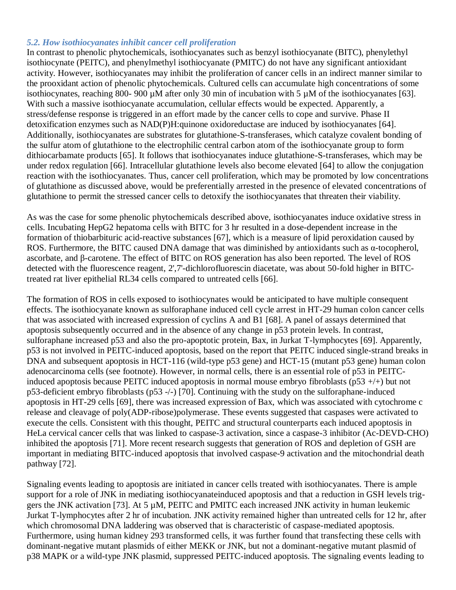#### *5.2. How isothiocyanates inhibit cancer cell proliferation*

In contrast to phenolic phytochemicals, isothiocyanates such as benzyl isothiocyanate (BITC), phenylethyl isothiocynate (PEITC), and phenylmethyl isothiocyanate (PMITC) do not have any significant antioxidant activity. However, isothiocyanates may inhibit the proliferation of cancer cells in an indirect manner similar to the prooxidant action of phenolic phytochemicals. Cultured cells can accumulate high concentrations of some isothiocynates, reaching 800- 900 µM after only 30 min of incubation with 5 µM of the isothiocyanates [63]. With such a massive isothiocyanate accumulation, cellular effects would be expected. Apparently, a stress/defense response is triggered in an effort made by the cancer cells to cope and survive. Phase II detoxification enzymes such as NAD(P)H:quinone oxidoreductase are induced by isothiocyanates [64]. Additionally, isothiocyanates are substrates for glutathione-S-transferases, which catalyze covalent bonding of the sulfur atom of glutathione to the electrophilic central carbon atom of the isothiocyanate group to form dithiocarbamate products [65]. It follows that isothiocyanates induce glutathione-S-transferases, which may be under redox regulation [66]. Intracellular glutathione levels also become elevated [64] to allow the conjugation reaction with the isothiocyanates. Thus, cancer cell proliferation, which may be promoted by low concentrations of glutathione as discussed above, would be preferentially arrested in the presence of elevated concentrations of glutathione to permit the stressed cancer cells to detoxify the isothiocyanates that threaten their viability.

As was the case for some phenolic phytochemicals described above, isothiocyanates induce oxidative stress in cells. Incubating HepG2 hepatoma cells with BITC for 3 hr resulted in a dose-dependent increase in the formation of thiobarbituric acid-reactive substances [67], which is a measure of lipid peroxidation caused by ROS. Furthermore, the BITC caused DNA damage that was diminished by antioxidants such as α-tocopherol, ascorbate, and β-carotene. The effect of BITC on ROS generation has also been reported. The level of ROS detected with the fluorescence reagent, 2',7'-dichlorofluorescin diacetate, was about 50-fold higher in BITCtreated rat liver epithelial RL34 cells compared to untreated cells [66].

The formation of ROS in cells exposed to isothiocynates would be anticipated to have multiple consequent effects. The isothiocyanate known as sulforaphane induced cell cycle arrest in HT-29 human colon cancer cells that was associated with increased expression of cyclins A and B1 [68]. A panel of assays determined that apoptosis subsequently occurred and in the absence of any change in p53 protein levels. In contrast, sulforaphane increased p53 and also the pro-apoptotic protein, Bax, in Jurkat T-lymphocytes [69]. Apparently, p53 is not involved in PEITC-induced apoptosis, based on the report that PEITC induced single-strand breaks in DNA and subsequent apoptosis in HCT-116 (wild-type p53 gene) and HCT-15 (mutant p53 gene) human colon adenocarcinoma cells (see footnote). However, in normal cells, there is an essential role of p53 in PEITCinduced apoptosis because PEITC induced apoptosis in normal mouse embryo fibroblasts (p53 +/+) but not p53-deficient embryo fibroblasts (p53 -/-) [70]. Continuing with the study on the sulforaphane-induced apoptosis in HT-29 cells [69], there was increased expression of Bax, which was associated with cytochrome c release and cleavage of poly(ADP-ribose)polymerase. These events suggested that caspases were activated to execute the cells. Consistent with this thought, PEITC and structural counterparts each induced apoptosis in HeLa cervical cancer cells that was linked to caspase-3 activation, since a caspase-3 inhibitor (Ac-DEVD-CHO) inhibited the apoptosis [71]. More recent research suggests that generation of ROS and depletion of GSH are important in mediating BITC-induced apoptosis that involved caspase-9 activation and the mitochondrial death pathway [72].

Signaling events leading to apoptosis are initiated in cancer cells treated with isothiocyanates. There is ample support for a role of JNK in mediating isothiocyanateinduced apoptosis and that a reduction in GSH levels triggers the JNK activation [73]. At 5 µM, PEITC and PMITC each increased JNK activity in human leukemic Jurkat T-lymphocytes after 2 hr of incubation. JNK activity remained higher than untreated cells for 12 hr, after which chromosomal DNA laddering was observed that is characteristic of caspase-mediated apoptosis. Furthermore, using human kidney 293 transformed cells, it was further found that transfecting these cells with dominant-negative mutant plasmids of either MEKK or JNK, but not a dominant-negative mutant plasmid of p38 MAPK or a wild-type JNK plasmid, suppressed PEITC-induced apoptosis. The signaling events leading to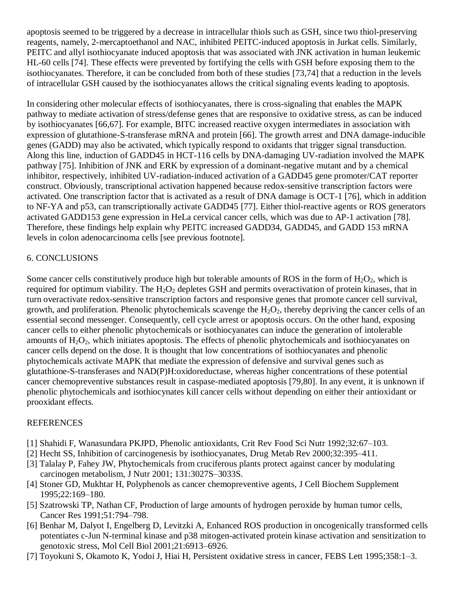apoptosis seemed to be triggered by a decrease in intracellular thiols such as GSH, since two thiol-preserving reagents, namely, 2-mercaptoethanol and NAC, inhibited PEITC-induced apoptosis in Jurkat cells. Similarly, PEITC and allyl isothiocyanate induced apoptosis that was associated with JNK activation in human leukemic HL-60 cells [74]. These effects were prevented by fortifying the cells with GSH before exposing them to the isothiocyanates. Therefore, it can be concluded from both of these studies [73,74] that a reduction in the levels of intracellular GSH caused by the isothiocyanates allows the critical signaling events leading to apoptosis.

In considering other molecular effects of isothiocyanates, there is cross-signaling that enables the MAPK pathway to mediate activation of stress/defense genes that are responsive to oxidative stress, as can be induced by isothiocyanates [66,67]. For example, BITC increased reactive oxygen intermediates in association with expression of glutathione-S-transferase mRNA and protein [66]. The growth arrest and DNA damage-inducible genes (GADD) may also be activated, which typically respond to oxidants that trigger signal transduction. Along this line, induction of GADD45 in HCT-116 cells by DNA-damaging UV-radiation involved the MAPK pathway [75]. Inhibition of JNK and ERK by expression of a dominant-negative mutant and by a chemical inhibitor, respectively, inhibited UV-radiation-induced activation of a GADD45 gene promoter/CAT reporter construct. Obviously, transcriptional activation happened because redox-sensitive transcription factors were activated. One transcription factor that is activated as a result of DNA damage is OCT-1 [76], which in addition to NF-YA and p53, can transcriptionally activate GADD45 [77]. Either thiol-reactive agents or ROS generators activated GADD153 gene expression in HeLa cervical cancer cells, which was due to AP-1 activation [78]. Therefore, these findings help explain why PEITC increased GADD34, GADD45, and GADD 153 mRNA levels in colon adenocarcinoma cells [see previous footnote].

# 6. CONCLUSIONS

Some cancer cells constitutively produce high but tolerable amounts of ROS in the form of  $H_2O_2$ , which is required for optimum viability. The  $H_2O_2$  depletes GSH and permits overactivation of protein kinases, that in turn overactivate redox-sensitive transcription factors and responsive genes that promote cancer cell survival, growth, and proliferation. Phenolic phytochemicals scavenge the  $H_2O_2$ , thereby depriving the cancer cells of an essential second messenger. Consequently, cell cycle arrest or apoptosis occurs. On the other hand, exposing cancer cells to either phenolic phytochemicals or isothiocyanates can induce the generation of intolerable amounts of  $H_2O_2$ , which initiates apoptosis. The effects of phenolic phytochemicals and isothiocyanates on cancer cells depend on the dose. It is thought that low concentrations of isothiocyanates and phenolic phytochemicals activate MAPK that mediate the expression of defensive and survival genes such as glutathione-S-transferases and NAD(P)H:oxidoreductase, whereas higher concentrations of these potential cancer chemopreventive substances result in caspase-mediated apoptosis [79,80]. In any event, it is unknown if phenolic phytochemicals and isothiocynates kill cancer cells without depending on either their antioxidant or prooxidant effects.

## **REFERENCES**

- [1] Shahidi F, Wanasundara PKJPD, Phenolic antioxidants, Crit Rev Food Sci Nutr 1992;32:67–103.
- [2] Hecht SS, Inhibition of carcinogenesis by isothiocyanates, Drug Metab Rev 2000;32:395–411.
- [3] Talalay P, Fahey JW, Phytochemicals from cruciferous plants protect against cancer by modulating carcinogen metabolism, J Nutr 2001; 131:3027S–3033S.
- [4] Stoner GD, Mukhtar H, Polyphenols as cancer chemopreventive agents, J Cell Biochem Supplement 1995;22:169–180.
- [5] Szatrowski TP, Nathan CF, Production of large amounts of hydrogen peroxide by human tumor cells, Cancer Res 1991;51:794–798.
- [6] Benhar M, Dalyot I, Engelberg D, Levitzki A, Enhanced ROS production in oncogenically transformed cells potentiates c-Jun N-terminal kinase and p38 mitogen-activated protein kinase activation and sensitization to genotoxic stress, Mol Cell Biol 2001;21:6913–6926.
- [7] Toyokuni S, Okamoto K, Yodoi J, Hiai H, Persistent oxidative stress in cancer, FEBS Lett 1995;358:1–3.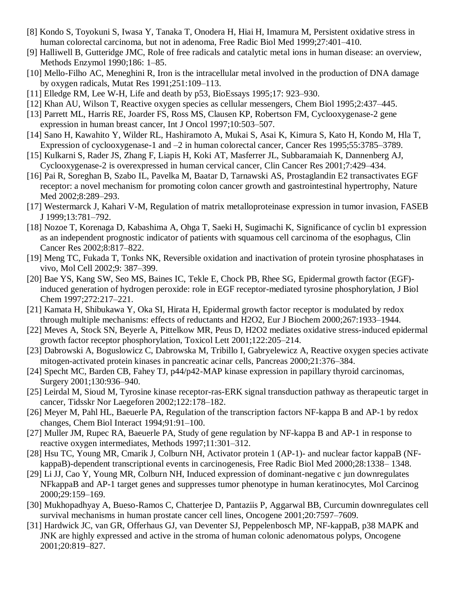- [8] Kondo S, Toyokuni S, Iwasa Y, Tanaka T, Onodera H, Hiai H, Imamura M, Persistent oxidative stress in human colorectal carcinoma, but not in adenoma, Free Radic Biol Med 1999;27:401–410.
- [9] Halliwell B, Gutteridge JMC, Role of free radicals and catalytic metal ions in human disease: an overview, Methods Enzymol 1990;186: 1–85.
- [10] Mello-Filho AC, Meneghini R, Iron is the intracellular metal involved in the production of DNA damage by oxygen radicals, Mutat Res 1991;251:109–113.
- [11] Elledge RM, Lee W-H, Life and death by p53, BioEssays 1995;17: 923–930.
- [12] Khan AU, Wilson T, Reactive oxygen species as cellular messengers, Chem Biol 1995;2:437–445.
- [13] Parrett ML, Harris RE, Joarder FS, Ross MS, Clausen KP, Robertson FM, Cyclooxygenase-2 gene expression in human breast cancer, Int J Oncol 1997;10:503–507.
- [14] Sano H, Kawahito Y, Wilder RL, Hashiramoto A, Mukai S, Asai K, Kimura S, Kato H, Kondo M, Hla T, Expression of cyclooxygenase-1 and –2 in human colorectal cancer, Cancer Res 1995;55:3785–3789.
- [15] Kulkarni S, Rader JS, Zhang F, Liapis H, Koki AT, Masferrer JL, Subbaramaiah K, Dannenberg AJ, Cyclooxygenase-2 is overexpressed in human cervical cancer, Clin Cancer Res 2001;7:429–434.
- [16] Pai R, Soreghan B, Szabo IL, Pavelka M, Baatar D, Tarnawski AS, Prostaglandin E2 transactivates EGF receptor: a novel mechanism for promoting colon cancer growth and gastrointestinal hypertrophy, Nature Med 2002;8:289–293.
- [17] Westermarck J, Kahari V-M, Regulation of matrix metalloproteinase expression in tumor invasion, FASEB J 1999;13:781–792.
- [18] Nozoe T, Korenaga D, Kabashima A, Ohga T, Saeki H, Sugimachi K, Significance of cyclin b1 expression as an independent prognostic indicator of patients with squamous cell carcinoma of the esophagus, Clin Cancer Res 2002;8:817–822.
- [19] Meng TC, Fukada T, Tonks NK, Reversible oxidation and inactivation of protein tyrosine phosphatases in vivo, Mol Cell 2002;9: 387–399.
- [20] Bae YS, Kang SW, Seo MS, Baines IC, Tekle E, Chock PB, Rhee SG, Epidermal growth factor (EGF) induced generation of hydrogen peroxide: role in EGF receptor-mediated tyrosine phosphorylation, J Biol Chem 1997;272:217–221.
- [21] Kamata H, Shibukawa Y, Oka SI, Hirata H, Epidermal growth factor receptor is modulated by redox through multiple mechanisms: effects of reductants and H2O2, Eur J Biochem 2000;267:1933–1944.
- [22] Meves A, Stock SN, Beyerle A, Pittelkow MR, Peus D, H2O2 mediates oxidative stress-induced epidermal growth factor receptor phosphorylation, Toxicol Lett 2001;122:205–214.
- [23] Dabrowski A, Boguslowicz C, Dabrowska M, Tribillo I, Gabryelewicz A, Reactive oxygen species activate mitogen-activated protein kinases in pancreatic acinar cells, Pancreas 2000;21:376–384.
- [24] Specht MC, Barden CB, Fahey TJ, p44/p42-MAP kinase expression in papillary thyroid carcinomas, Surgery 2001;130:936–940.
- [25] Leirdal M, Sioud M, Tyrosine kinase receptor-ras-ERK signal transduction pathway as therapeutic target in cancer, Tidsskr Nor Laegeforen 2002;122:178–182.
- [26] Meyer M, Pahl HL, Baeuerle PA, Regulation of the transcription factors NF-kappa B and AP-1 by redox changes, Chem Biol Interact 1994;91:91–100.
- [27] Muller JM, Rupec RA, Baeuerle PA, Study of gene regulation by NF-kappa B and AP-1 in response to reactive oxygen intermediates, Methods 1997;11:301–312.
- [28] Hsu TC, Young MR, Cmarik J, Colburn NH, Activator protein 1 (AP-1)- and nuclear factor kappaB (NFkappaB)-dependent transcriptional events in carcinogenesis, Free Radic Biol Med 2000;28:1338– 1348.
- [29] Li JJ, Cao Y, Young MR, Colburn NH, Induced expression of dominant-negative c jun downregulates NFkappaB and AP-1 target genes and suppresses tumor phenotype in human keratinocytes, Mol Carcinog 2000;29:159–169.
- [30] Mukhopadhyay A, Bueso-Ramos C, Chatterjee D, Pantaziis P, Aggarwal BB, Curcumin downregulates cell survival mechanisms in human prostate cancer cell lines, Oncogene 2001;20:7597–7609.
- [31] Hardwick JC, van GR, Offerhaus GJ, van Deventer SJ, Peppelenbosch MP, NF-kappaB, p38 MAPK and JNK are highly expressed and active in the stroma of human colonic adenomatous polyps, Oncogene 2001;20:819–827.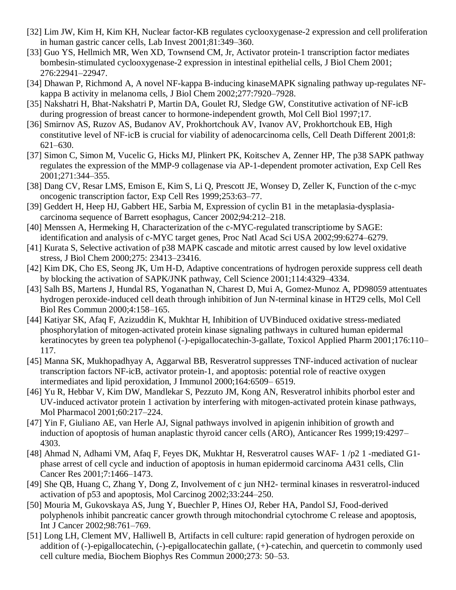- [32] Lim JW, Kim H, Kim KH, Nuclear factor-KB regulates cyclooxygenase-2 expression and cell proliferation in human gastric cancer cells, Lab Invest 2001;81:349–360.
- [33] Guo YS, Hellmich MR, Wen XD, Townsend CM, Jr, Activator protein-1 transcription factor mediates bombesin-stimulated cyclooxygenase-2 expression in intestinal epithelial cells, J Biol Chem 2001; 276:22941–22947.
- [34] Dhawan P, Richmond A, A novel NF-kappa B-inducing kinaseMAPK signaling pathway up-regulates NFkappa B activity in melanoma cells, J Biol Chem 2002;277:7920–7928.
- [35] Nakshatri H, Bhat-Nakshatri P, Martin DA, Goulet RJ, Sledge GW, Constitutive activation of NF-icB during progression of breast cancer to hormone-independent growth, Mol Cell Biol 1997;17.
- [36] Smirnov AS, Ruzov AS, Budanov AV, Prokhortchouk AV, Ivanov AV, Prokhortchouk EB, High constitutive level of NF-icB is crucial for viability of adenocarcinoma cells, Cell Death Different 2001;8: 621–630.
- [37] Simon C, Simon M, Vucelic G, Hicks MJ, Plinkert PK, Koitschev A, Zenner HP, The p38 SAPK pathway regulates the expression of the MMP-9 collagenase via AP-1-dependent promoter activation, Exp Cell Res 2001;271:344–355.
- [38] Dang CV, Resar LMS, Emison E, Kim S, Li Q, Prescott JE, Wonsey D, Zeller K, Function of the c-myc oncogenic transcription factor, Exp Cell Res 1999;253:63–77.
- [39] Geddert H, Heep HJ, Gabbert HE, Sarbia M, Expression of cyclin B1 in the metaplasia-dysplasiacarcinoma sequence of Barrett esophagus, Cancer 2002;94:212–218.
- [40] Menssen A, Hermeking H, Characterization of the c-MYC-regulated transcriptiome by SAGE: identification and analysis of c-MYC target genes, Proc Natl Acad Sci USA 2002;99:6274–6279.
- [41] Kurata S, Selective activation of p38 MAPK cascade and mitotic arrest caused by low level oxidative stress, J Biol Chem 2000;275: 23413–23416.
- [42] Kim DK, Cho ES, Seong JK, Um H-D, Adaptive concentrations of hydrogen peroxide suppress cell death by blocking the activation of SAPK/JNK pathway, Cell Science 2001;114:4329–4334.
- [43] Salh BS, Martens J, Hundal RS, Yoganathan N, Charest D, Mui A, Gomez-Munoz A, PD98059 attentuates hydrogen peroxide-induced cell death through inhibition of Jun N-terminal kinase in HT29 cells, Mol Cell Biol Res Commun 2000;4:158–165.
- [44] Katiyar SK, Afaq F, Azizuddin K, Mukhtar H, Inhibition of UVBinduced oxidative stress-mediated phosphorylation of mitogen-activated protein kinase signaling pathways in cultured human epidermal keratinocytes by green tea polyphenol (-)-epigallocatechin-3-gallate, Toxicol Applied Pharm 2001;176:110– 117.
- [45] Manna SK, Mukhopadhyay A, Aggarwal BB, Resveratrol suppresses TNF-induced activation of nuclear transcription factors NF-icB, activator protein-1, and apoptosis: potential role of reactive oxygen intermediates and lipid peroxidation, J Immunol 2000;164:6509– 6519.
- [46] Yu R, Hebbar V, Kim DW, Mandlekar S, Pezzuto JM, Kong AN, Resveratrol inhibits phorbol ester and UV-induced activator protein 1 activation by interfering with mitogen-activated protein kinase pathways, Mol Pharmacol 2001;60:217–224.
- [47] Yin F, Giuliano AE, van Herle AJ, Signal pathways involved in apigenin inhibition of growth and induction of apoptosis of human anaplastic thyroid cancer cells (ARO), Anticancer Res 1999;19:4297– 4303.
- [48] Ahmad N, Adhami VM, Afaq F, Feyes DK, Mukhtar H, Resveratrol causes WAF- 1 /p2 1 -mediated G1 phase arrest of cell cycle and induction of apoptosis in human epidermoid carcinoma A431 cells, Clin Cancer Res 2001;7:1466–1473.
- [49] She QB, Huang C, Zhang Y, Dong Z, Involvement of c jun NH2- terminal kinases in resveratrol-induced activation of p53 and apoptosis, Mol Carcinog 2002;33:244–250.
- [50] Mouria M, Gukovskaya AS, Jung Y, Buechler P, Hines OJ, Reber HA, Pandol SJ, Food-derived polyphenols inhibit pancreatic cancer growth through mitochondrial cytochrome C release and apoptosis, Int J Cancer 2002;98:761–769.
- [51] Long LH, Clement MV, Halliwell B, Artifacts in cell culture: rapid generation of hydrogen peroxide on addition of (-)-epigallocatechin, (-)-epigallocatechin gallate, (+)-catechin, and quercetin to commonly used cell culture media, Biochem Biophys Res Commun 2000;273: 50–53.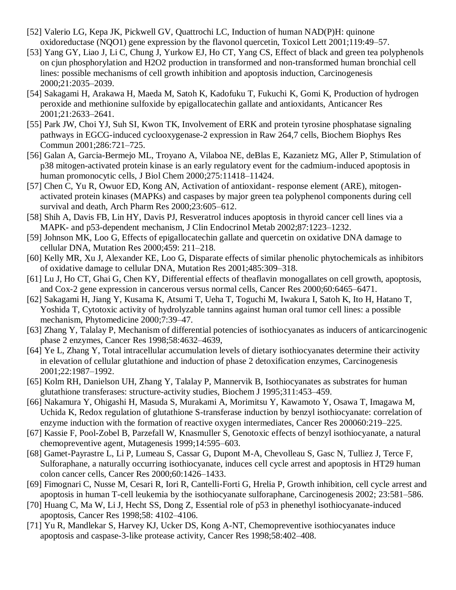- [52] Valerio LG, Kepa JK, Pickwell GV, Quattrochi LC, Induction of human NAD(P)H: quinone oxidoreductase (NQO1) gene expression by the flavonol quercetin, Toxicol Lett 2001;119:49–57.
- [53] Yang GY, Liao J, Li C, Chung J, Yurkow EJ, Ho CT, Yang CS, Effect of black and green tea polyphenols on cjun phosphorylation and H2O2 production in transformed and non-transformed human bronchial cell lines: possible mechanisms of cell growth inhibition and apoptosis induction, Carcinogenesis 2000;21:2035–2039.
- [54] Sakagami H, Arakawa H, Maeda M, Satoh K, Kadofuku T, Fukuchi K, Gomi K, Production of hydrogen peroxide and methionine sulfoxide by epigallocatechin gallate and antioxidants, Anticancer Res 2001;21:2633–2641.
- [55] Park JW, Choi YJ, Suh SI, Kwon TK, Involvement of ERK and protein tyrosine phosphatase signaling pathways in EGCG-induced cyclooxygenase-2 expression in Raw 264,7 cells, Biochem Biophys Res Commun 2001;286:721–725.
- [56] Galan A, Garcia-Bermejo ML, Troyano A, Vilaboa NE, deBlas E, Kazanietz MG, Aller P, Stimulation of p38 mitogen-activated protein kinase is an early regulatory event for the cadmium-induced apoptosis in human promonocytic cells, J Biol Chem 2000;275:11418–11424.
- [57] Chen C, Yu R, Owuor ED, Kong AN, Activation of antioxidant- response element (ARE), mitogenactivated protein kinases (MAPKs) and caspases by major green tea polyphenol components during cell survival and death, Arch Pharm Res 2000;23:605–612.
- [58] Shih A, Davis FB, Lin HY, Davis PJ, Resveratrol induces apoptosis in thyroid cancer cell lines via a MAPK- and p53-dependent mechanism, J Clin Endocrinol Metab 2002;87:1223–1232.
- [59] Johnson MK, Loo G, Effects of epigallocatechin gallate and quercetin on oxidative DNA damage to cellular DNA, Mutation Res 2000;459: 211–218.
- [60] Kelly MR, Xu J, Alexander KE, Loo G, Disparate effects of similar phenolic phytochemicals as inhibitors of oxidative damage to cellular DNA, Mutation Res 2001;485:309–318.
- [61] Lu J, Ho CT, Ghai G, Chen KY, Differential effects of theaflavin monogallates on cell growth, apoptosis, and Cox-2 gene expression in cancerous versus normal cells, Cancer Res 2000;60:6465–6471.
- [62] Sakagami H, Jiang Y, Kusama K, Atsumi T, Ueha T, Toguchi M, Iwakura I, Satoh K, Ito H, Hatano T, Yoshida T, Cytotoxic activity of hydrolyzable tannins against human oral tumor cell lines: a possible mechanism, Phytomedicine 2000;7:39–47.
- [63] Zhang Y, Talalay P, Mechanism of differential potencies of isothiocyanates as inducers of anticarcinogenic phase 2 enzymes, Cancer Res 1998;58:4632–4639,
- [64] Ye L, Zhang Y, Total intracellular accumulation levels of dietary isothiocyanates determine their activity in elevation of cellular glutathione and induction of phase 2 detoxification enzymes, Carcinogenesis 2001;22:1987–1992.
- [65] Kolm RH, Danielson UH, Zhang Y, Talalay P, Mannervik B, Isothiocyanates as substrates for human glutathione transferases: structure-activity studies, Biochem J 1995;311:453–459.
- [66] Nakamura Y, Ohigashi H, Masuda S, Murakami A, Morimitsu Y, Kawamoto Y, Osawa T, Imagawa M, Uchida K, Redox regulation of glutathione S-transferase induction by benzyl isothiocyanate: correlation of enzyme induction with the formation of reactive oxygen intermediates, Cancer Res 200060:219–225.
- [67] Kassie F, Pool-Zobel B, Parzefall W, Knasmuller S, Genotoxic effects of benzyl isothiocyanate, a natural chemopreventive agent, Mutagenesis 1999;14:595–603.
- [68] Gamet-Payrastre L, Li P, Lumeau S, Cassar G, Dupont M-A, Chevolleau S, Gasc N, Tulliez J, Terce F, Sulforaphane, a naturally occurring isothiocyanate, induces cell cycle arrest and apoptosis in HT29 human colon cancer cells, Cancer Res 2000;60:1426–1433.
- [69] Fimognari C, Nusse M, Cesari R, Iori R, Cantelli-Forti G, Hrelia P, Growth inhibition, cell cycle arrest and apoptosis in human T-cell leukemia by the isothiocyanate sulforaphane, Carcinogenesis 2002; 23:581–586.
- [70] Huang C, Ma W, Li J, Hecht SS, Dong Z, Essential role of p53 in phenethyl isothiocyanate-induced apoptosis, Cancer Res 1998;58: 4102–4106.
- [71] Yu R, Mandlekar S, Harvey KJ, Ucker DS, Kong A-NT, Chemopreventive isothiocyanates induce apoptosis and caspase-3-like protease activity, Cancer Res 1998;58:402–408.